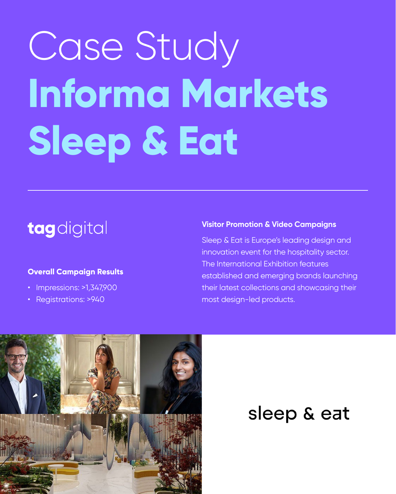# Case Study **Informa Markets Sleep & Eat**

## tagdigital

#### **Visitor Promotion & Video Campaigns**

- Impressions: >1,347,900
- Registrations: >940

Sleep & Eat is Europe's leading design and innovation event for the hospitality sector. The International Exhibition features established and emerging brands launching their latest collections and showcasing their most design-led products.



## sleep & eat

#### **Overall Campaign Results**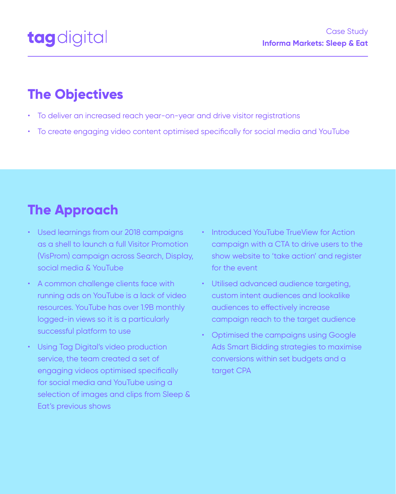- To deliver an increased reach year-on-year and drive visitor registrations
- To create engaging video content optimised specifically for social media and YouTube

- Used learnings from our 2018 campaigns as a shell to launch a full Visitor Promotion (VisProm) campaign across Search, Display, social media & YouTube
- A common challenge clients face with running ads on YouTube is a lack of video resources. YouTube has over 1.9B monthly logged-in views so it is a particularly successful platform to use
- Using Tag Digital's video production

service, the team created a set of engaging videos optimised specifically for social media and YouTube using a selection of images and clips from Sleep & Eat's previous shows

- Introduced YouTube TrueView for Action campaign with a CTA to drive users to the show website to 'take action' and register for the event
- Utilised advanced audience targeting, custom intent audiences and lookalike audiences to effectively increase campaign reach to the target audience
- Optimised the campaigns using Google Ads Smart Bidding strategies to maximise

conversions within set budgets and a target CPA

## **The Objectives**

## **The Approach**



Case Study **Informa Markets: Sleep & Eat**